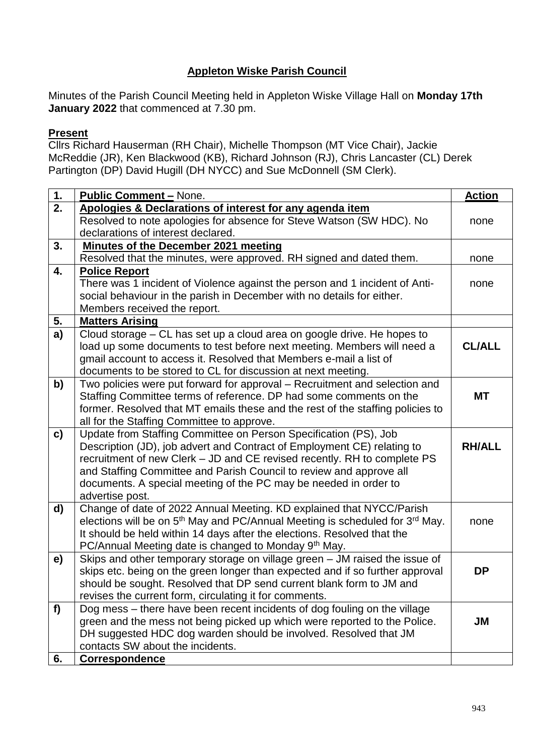## **Appleton Wiske Parish Council**

Minutes of the Parish Council Meeting held in Appleton Wiske Village Hall on **Monday 17th January 2022** that commenced at 7.30 pm.

## **Present**

Cllrs Richard Hauserman (RH Chair), Michelle Thompson (MT Vice Chair), Jackie McReddie (JR), Ken Blackwood (KB), Richard Johnson (RJ), Chris Lancaster (CL) Derek Partington (DP) David Hugill (DH NYCC) and Sue McDonnell (SM Clerk).

| 1. | <b>Public Comment - None.</b>                                                                                  | <b>Action</b> |  |  |  |
|----|----------------------------------------------------------------------------------------------------------------|---------------|--|--|--|
| 2. | Apologies & Declarations of interest for any agenda item                                                       |               |  |  |  |
|    | Resolved to note apologies for absence for Steve Watson (SW HDC). No                                           | none          |  |  |  |
|    | declarations of interest declared.                                                                             |               |  |  |  |
| 3. | <b>Minutes of the December 2021 meeting</b>                                                                    |               |  |  |  |
|    | Resolved that the minutes, were approved. RH signed and dated them.                                            | none          |  |  |  |
| 4. | <b>Police Report</b>                                                                                           | none          |  |  |  |
|    | There was 1 incident of Violence against the person and 1 incident of Anti-                                    |               |  |  |  |
|    | social behaviour in the parish in December with no details for either.                                         |               |  |  |  |
|    | Members received the report.                                                                                   |               |  |  |  |
| 5. | <b>Matters Arising</b>                                                                                         |               |  |  |  |
| a) | Cloud storage – CL has set up a cloud area on google drive. He hopes to                                        |               |  |  |  |
|    | load up some documents to test before next meeting. Members will need a                                        | <b>CL/ALL</b> |  |  |  |
|    | gmail account to access it. Resolved that Members e-mail a list of                                             |               |  |  |  |
|    | documents to be stored to CL for discussion at next meeting.                                                   |               |  |  |  |
| b) | Two policies were put forward for approval - Recruitment and selection and                                     |               |  |  |  |
|    | Staffing Committee terms of reference. DP had some comments on the                                             | <b>MT</b>     |  |  |  |
|    | former. Resolved that MT emails these and the rest of the staffing policies to                                 |               |  |  |  |
|    | all for the Staffing Committee to approve.<br>Update from Staffing Committee on Person Specification (PS), Job |               |  |  |  |
| c) | Description (JD), job advert and Contract of Employment CE) relating to                                        | <b>RH/ALL</b> |  |  |  |
|    | recruitment of new Clerk - JD and CE revised recently. RH to complete PS                                       |               |  |  |  |
|    | and Staffing Committee and Parish Council to review and approve all                                            |               |  |  |  |
|    | documents. A special meeting of the PC may be needed in order to                                               |               |  |  |  |
|    | advertise post.                                                                                                |               |  |  |  |
| d) | Change of date of 2022 Annual Meeting. KD explained that NYCC/Parish                                           |               |  |  |  |
|    | elections will be on 5 <sup>th</sup> May and PC/Annual Meeting is scheduled for 3 <sup>rd</sup> May.           | none          |  |  |  |
|    | It should be held within 14 days after the elections. Resolved that the                                        |               |  |  |  |
|    | PC/Annual Meeting date is changed to Monday 9th May.                                                           |               |  |  |  |
| e) | Skips and other temporary storage on village green - JM raised the issue of                                    |               |  |  |  |
|    | skips etc. being on the green longer than expected and if so further approval                                  | <b>DP</b>     |  |  |  |
|    | should be sought. Resolved that DP send current blank form to JM and                                           |               |  |  |  |
|    | revises the current form, circulating it for comments.                                                         |               |  |  |  |
| f  | Dog mess – there have been recent incidents of dog fouling on the village                                      |               |  |  |  |
|    | green and the mess not being picked up which were reported to the Police.                                      | JM            |  |  |  |
|    | DH suggested HDC dog warden should be involved. Resolved that JM                                               |               |  |  |  |
|    | contacts SW about the incidents.                                                                               |               |  |  |  |
| 6. | <b>Correspondence</b>                                                                                          |               |  |  |  |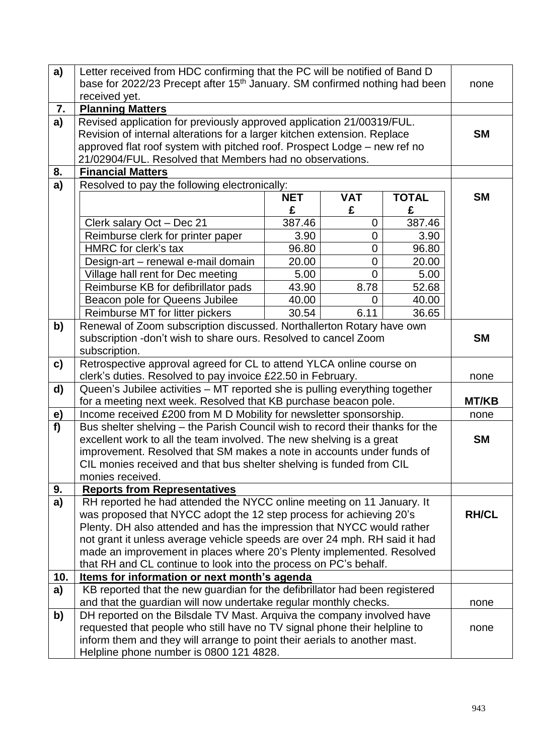| a)           | Letter received from HDC confirming that the PC will be notified of Band D                                                                           |                 |                 |                   | none      |  |  |
|--------------|------------------------------------------------------------------------------------------------------------------------------------------------------|-----------------|-----------------|-------------------|-----------|--|--|
|              | base for 2022/23 Precept after 15 <sup>th</sup> January. SM confirmed nothing had been                                                               |                 |                 |                   |           |  |  |
| 7.           | received yet.<br><b>Planning Matters</b>                                                                                                             |                 |                 |                   |           |  |  |
| a)           | Revised application for previously approved application 21/00319/FUL.                                                                                |                 |                 |                   |           |  |  |
|              | Revision of internal alterations for a larger kitchen extension. Replace                                                                             |                 |                 |                   |           |  |  |
|              | approved flat roof system with pitched roof. Prospect Lodge - new ref no                                                                             |                 |                 |                   |           |  |  |
|              | 21/02904/FUL. Resolved that Members had no observations.                                                                                             |                 |                 |                   |           |  |  |
| 8.           | <b>Financial Matters</b>                                                                                                                             |                 |                 |                   |           |  |  |
| a)           | Resolved to pay the following electronically:                                                                                                        |                 |                 |                   |           |  |  |
|              |                                                                                                                                                      | <b>NET</b><br>£ | <b>VAT</b><br>£ | <b>TOTAL</b><br>£ | <b>SM</b> |  |  |
|              | Clerk salary Oct - Dec 21                                                                                                                            | 387.46          | 0               | 387.46            |           |  |  |
|              | Reimburse clerk for printer paper                                                                                                                    | 3.90            | $\overline{0}$  | 3.90              |           |  |  |
|              | HMRC for clerk's tax                                                                                                                                 | 96.80           | 0               | 96.80             |           |  |  |
|              | Design-art - renewal e-mail domain                                                                                                                   | 20.00           | $\overline{0}$  | 20.00             |           |  |  |
|              | Village hall rent for Dec meeting                                                                                                                    | 5.00            | $\mathbf 0$     | 5.00              |           |  |  |
|              | Reimburse KB for defibrillator pads                                                                                                                  | 43.90           | 8.78            | 52.68             |           |  |  |
|              | Beacon pole for Queens Jubilee                                                                                                                       | 40.00           | 0               | 40.00             |           |  |  |
|              | Reimburse MT for litter pickers                                                                                                                      | 30.54           | 6.11            | 36.65             |           |  |  |
| b)           | Renewal of Zoom subscription discussed. Northallerton Rotary have own<br>subscription -don't wish to share ours. Resolved to cancel Zoom             |                 |                 |                   |           |  |  |
|              | subscription.                                                                                                                                        |                 |                 |                   |           |  |  |
| $\mathbf{c}$ | Retrospective approval agreed for CL to attend YLCA online course on                                                                                 |                 |                 |                   |           |  |  |
| d)           | clerk's duties. Resolved to pay invoice £22.50 in February.                                                                                          |                 |                 |                   |           |  |  |
|              | Queen's Jubilee activities - MT reported she is pulling everything together<br>for a meeting next week. Resolved that KB purchase beacon pole.       |                 |                 |                   |           |  |  |
| <u>e)</u>    | Income received £200 from M D Mobility for newsletter sponsorship.                                                                                   |                 |                 |                   |           |  |  |
| f            | Bus shelter shelving – the Parish Council wish to record their thanks for the                                                                        |                 |                 |                   |           |  |  |
|              | excellent work to all the team involved. The new shelving is a great                                                                                 |                 |                 |                   |           |  |  |
|              | improvement. Resolved that SM makes a note in accounts under funds of                                                                                |                 |                 |                   |           |  |  |
|              | CIL monies received and that bus shelter shelving is funded from CIL                                                                                 |                 |                 |                   |           |  |  |
|              | monies received.                                                                                                                                     |                 |                 |                   |           |  |  |
| 9.           | <b>Reports from Representatives</b>                                                                                                                  |                 |                 |                   |           |  |  |
| a)           | RH reported he had attended the NYCC online meeting on 11 January. It                                                                                |                 |                 |                   |           |  |  |
|              | was proposed that NYCC adopt the 12 step process for achieving 20's                                                                                  |                 |                 |                   |           |  |  |
|              | Plenty. DH also attended and has the impression that NYCC would rather<br>not grant it unless average vehicle speeds are over 24 mph. RH said it had |                 |                 |                   |           |  |  |
|              | made an improvement in places where 20's Plenty implemented. Resolved                                                                                |                 |                 |                   |           |  |  |
|              | that RH and CL continue to look into the process on PC's behalf.                                                                                     |                 |                 |                   |           |  |  |
| 10.          | Items for information or next month's agenda                                                                                                         |                 |                 |                   |           |  |  |
| a)           | KB reported that the new guardian for the defibrillator had been registered                                                                          |                 |                 |                   |           |  |  |
|              | and that the guardian will now undertake regular monthly checks.                                                                                     |                 |                 |                   | none      |  |  |
| b)           | DH reported on the Bilsdale TV Mast. Arquiva the company involved have                                                                               |                 |                 |                   |           |  |  |
|              | requested that people who still have no TV signal phone their helpline to                                                                            |                 |                 |                   |           |  |  |
|              | inform them and they will arrange to point their aerials to another mast.                                                                            |                 |                 |                   |           |  |  |
|              | Helpline phone number is 0800 121 4828.                                                                                                              |                 |                 |                   |           |  |  |